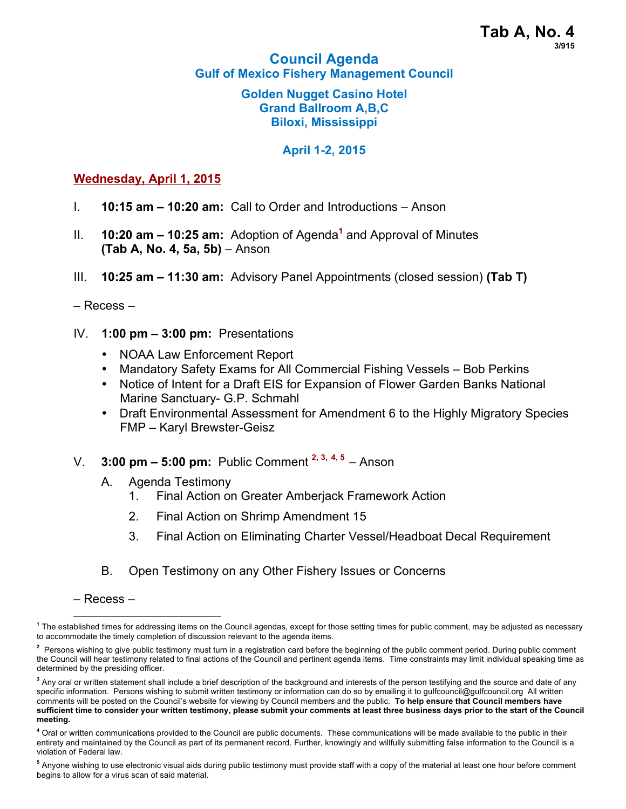# **Council Agenda Gulf of Mexico Fishery Management Council**

#### **Golden Nugget Casino Hotel Grand Ballroom A,B,C Biloxi, Mississippi**

# **April 1-2, 2015**

### **Wednesday, April 1, 2015**

- I. **10:15 am – 10:20 am:** Call to Order and Introductions Anson
- II. **10:20 am – 10:25 am:** Adoption of Agenda**<sup>1</sup>** and Approval of Minutes **(Tab A, No. 4, 5a, 5b)** – Anson
- III. **10:25 am – 11:30 am:** Advisory Panel Appointments (closed session) **(Tab T)**

### – Recess –

- IV. **1:00 pm – 3:00 pm:** Presentations
	- NOAA Law Enforcement Report
	- Mandatory Safety Exams for All Commercial Fishing Vessels Bob Perkins
	- Notice of Intent for a Draft EIS for Expansion of Flower Garden Banks National Marine Sanctuary- G.P. Schmahl
	- Draft Environmental Assessment for Amendment 6 to the Highly Migratory Species FMP – Karyl Brewster-Geisz
- V. **3:00 pm – 5:00 pm:** Public Comment **2, 3, 4, 5**  Anson
	- A. Agenda Testimony
		- 1. Final Action on Greater Amberjack Framework Action
		- 2. Final Action on Shrimp Amendment 15
		- 3. Final Action on Eliminating Charter Vessel/Headboat Decal Requirement
	- B. Open Testimony on any Other Fishery Issues or Concerns

– Recess –

**<sup>1</sup>** The established times for addressing items on the Council agendas, except for those setting times for public comment, may be adjusted as necessary to accommodate the timely completion of discussion relevant to the agenda items.

<sup>&</sup>lt;sup>2</sup> Persons wishing to give public testimony must turn in a registration card before the beginning of the public comment period. During public comment the Council will hear testimony related to final actions of the Council and pertinent agenda items. Time constraints may limit individual speaking time as determined by the presiding officer.

<sup>&</sup>lt;sup>3</sup> Any oral or written statement shall include a brief description of the background and interests of the person testifying and the source and date of any specific information. Persons wishing to submit written testimony or information can do so by emailing it to gulfcouncil@gulfcouncil.org All written comments will be posted on the Council's website for viewing by Council members and the public. **To help ensure that Council members have sufficient time to consider your written testimony, please submit your comments at least three business days prior to the start of the Council meeting.**

**<sup>4</sup>** Oral or written communications provided to the Council are public documents. These communications will be made available to the public in their entirety and maintained by the Council as part of its permanent record. Further, knowingly and willfully submitting false information to the Council is a violation of Federal law.

**<sup>5</sup>** Anyone wishing to use electronic visual aids during public testimony must provide staff with a copy of the material at least one hour before comment begins to allow for a virus scan of said material.